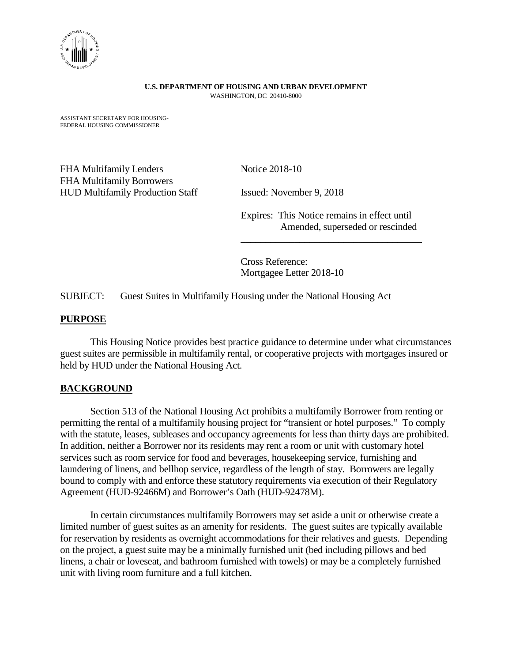

#### **U.S. DEPARTMENT OF HOUSING AND URBAN DEVELOPMENT**  WASHINGTON, DC 20410-8000

ASSISTANT SECRETARY FOR HOUSING-FEDERAL HOUSING COMMISSIONER

FHA Multifamily Lenders Notice 2018-10 FHA Multifamily Borrowers HUD Multifamily Production Staff Issued: November 9, 2018

Expires: This Notice remains in effect until Amended, superseded or rescinded

 $\overline{\phantom{a}}$  , where  $\overline{\phantom{a}}$  , where  $\overline{\phantom{a}}$  ,  $\overline{\phantom{a}}$  ,  $\overline{\phantom{a}}$  ,  $\overline{\phantom{a}}$  ,  $\overline{\phantom{a}}$  ,  $\overline{\phantom{a}}$  ,  $\overline{\phantom{a}}$  ,  $\overline{\phantom{a}}$  ,  $\overline{\phantom{a}}$  ,  $\overline{\phantom{a}}$  ,  $\overline{\phantom{a}}$  ,  $\overline{\phantom{a}}$  ,  $\overline{\phantom{a}}$  ,

Cross Reference: Mortgagee Letter 2018-10

SUBJECT: Guest Suites in Multifamily Housing under the National Housing Act

#### **PURPOSE**

This Housing Notice provides best practice guidance to determine under what circumstances guest suites are permissible in multifamily rental, or cooperative projects with mortgages insured or held by HUD under the National Housing Act.

## **BACKGROUND**

Section 513 of the National Housing Act prohibits a multifamily Borrower from renting or permitting the rental of a multifamily housing project for "transient or hotel purposes." To comply with the statute, leases, subleases and occupancy agreements for less than thirty days are prohibited. In addition, neither a Borrower nor its residents may rent a room or unit with customary hotel services such as room service for food and beverages, housekeeping service, furnishing and laundering of linens, and bellhop service, regardless of the length of stay. Borrowers are legally bound to comply with and enforce these statutory requirements via execution of their Regulatory Agreement (HUD-92466M) and Borrower's Oath (HUD-92478M).

In certain circumstances multifamily Borrowers may set aside a unit or otherwise create a limited number of guest suites as an amenity for residents. The guest suites are typically available for reservation by residents as overnight accommodations for their relatives and guests. Depending on the project, a guest suite may be a minimally furnished unit (bed including pillows and bed linens, a chair or loveseat, and bathroom furnished with towels) or may be a completely furnished unit with living room furniture and a full kitchen.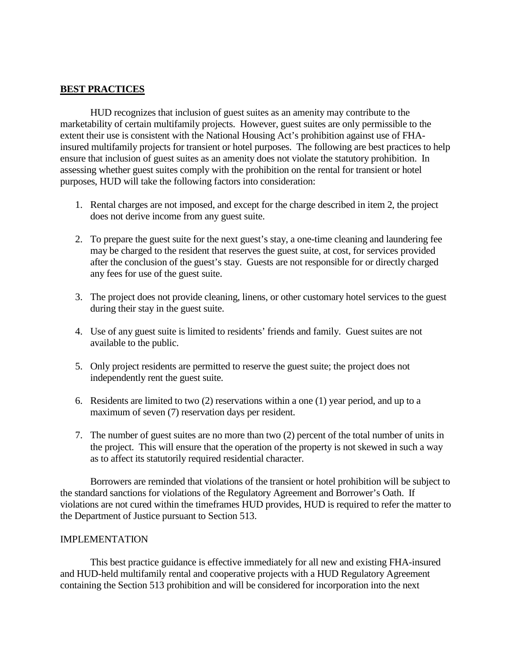# **BEST PRACTICES**

HUD recognizes that inclusion of guest suites as an amenity may contribute to the marketability of certain multifamily projects. However, guest suites are only permissible to the extent their use is consistent with the National Housing Act's prohibition against use of FHAinsured multifamily projects for transient or hotel purposes. The following are best practices to help ensure that inclusion of guest suites as an amenity does not violate the statutory prohibition. In assessing whether guest suites comply with the prohibition on the rental for transient or hotel purposes, HUD will take the following factors into consideration:

- 1. Rental charges are not imposed, and except for the charge described in item 2, the project does not derive income from any guest suite.
- 2. To prepare the guest suite for the next guest's stay, a one-time cleaning and laundering fee may be charged to the resident that reserves the guest suite, at cost, for services provided after the conclusion of the guest's stay. Guests are not responsible for or directly charged any fees for use of the guest suite.
- 3. The project does not provide cleaning, linens, or other customary hotel services to the guest during their stay in the guest suite.
- 4. Use of any guest suite is limited to residents' friends and family. Guest suites are not available to the public.
- 5. Only project residents are permitted to reserve the guest suite; the project does not independently rent the guest suite.
- 6. Residents are limited to two (2) reservations within a one (1) year period, and up to a maximum of seven (7) reservation days per resident.
- 7. The number of guest suites are no more than two (2) percent of the total number of units in the project. This will ensure that the operation of the property is not skewed in such a way as to affect its statutorily required residential character.

Borrowers are reminded that violations of the transient or hotel prohibition will be subject to the standard sanctions for violations of the Regulatory Agreement and Borrower's Oath. If violations are not cured within the timeframes HUD provides, HUD is required to refer the matter to the Department of Justice pursuant to Section 513.

### IMPLEMENTATION

This best practice guidance is effective immediately for all new and existing FHA-insured and HUD-held multifamily rental and cooperative projects with a HUD Regulatory Agreement containing the Section 513 prohibition and will be considered for incorporation into the next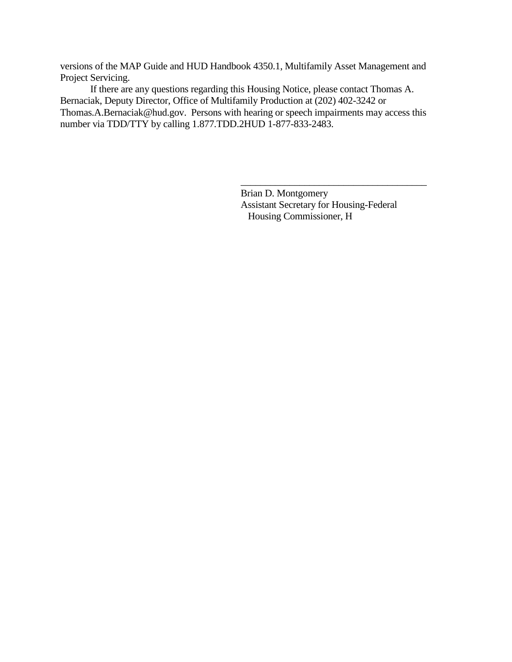versions of the MAP Guide and HUD Handbook 4350.1, Multifamily Asset Management and Project Servicing.

If there are any questions regarding this Housing Notice, please contact Thomas A. Bernaciak, Deputy Director, Office of Multifamily Production at (202) 402-3242 or Thomas.A.Bernaciak@hud.gov. Persons with hearing or speech impairments may access this number via TDD/TTY by calling 1.877.TDD.2HUD 1-877-833-2483.

> Brian D. Montgomery Assistant Secretary for Housing-Federal Housing Commissioner, H

\_\_\_\_\_\_\_\_\_\_\_\_\_\_\_\_\_\_\_\_\_\_\_\_\_\_\_\_\_\_\_\_\_\_\_\_\_\_